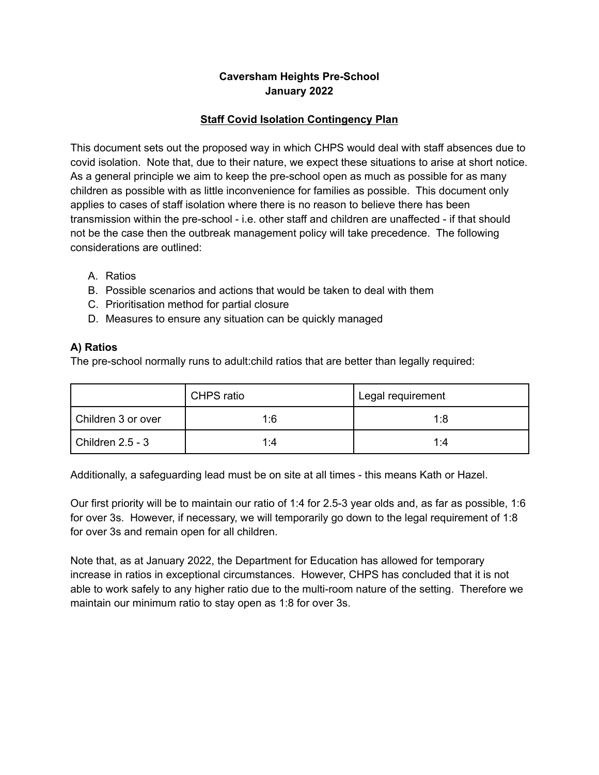### **Caversham Heights Pre-School January 2022**

#### **Staff Covid Isolation Contingency Plan**

This document sets out the proposed way in which CHPS would deal with staff absences due to covid isolation. Note that, due to their nature, we expect these situations to arise at short notice. As a general principle we aim to keep the pre-school open as much as possible for as many children as possible with as little inconvenience for families as possible. This document only applies to cases of staff isolation where there is no reason to believe there has been transmission within the pre-school - i.e. other staff and children are unaffected - if that should not be the case then the outbreak management policy will take precedence. The following considerations are outlined:

- A. Ratios
- B. Possible scenarios and actions that would be taken to deal with them
- C. Prioritisation method for partial closure
- D. Measures to ensure any situation can be quickly managed

#### **A) Ratios**

The pre-school normally runs to adult:child ratios that are better than legally required:

|                    | CHPS ratio | Legal requirement |
|--------------------|------------|-------------------|
| Children 3 or over | 1:6        | 1:8               |
| Children 2.5 - 3   | 1:4        | 1:4               |

Additionally, a safeguarding lead must be on site at all times - this means Kath or Hazel.

Our first priority will be to maintain our ratio of 1:4 for 2.5-3 year olds and, as far as possible, 1:6 for over 3s. However, if necessary, we will temporarily go down to the legal requirement of 1:8 for over 3s and remain open for all children.

Note that, as at January 2022, the Department for Education has allowed for temporary increase in ratios in exceptional circumstances. However, CHPS has concluded that it is not able to work safely to any higher ratio due to the multi-room nature of the setting. Therefore we maintain our minimum ratio to stay open as 1:8 for over 3s.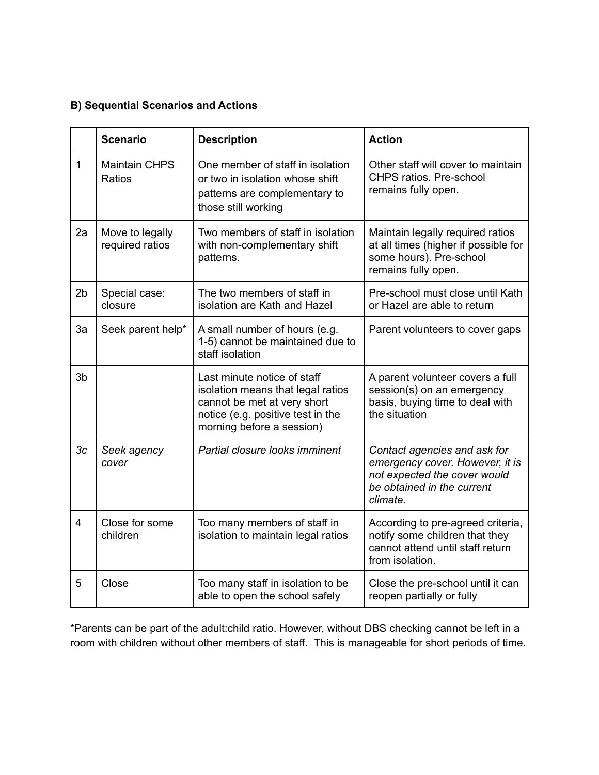# **B) Sequential Scenarios and Actions**

|                         | <b>Scenario</b>                    | <b>Description</b>                                                                                                                                                | <b>Action</b>                                                                                                                             |
|-------------------------|------------------------------------|-------------------------------------------------------------------------------------------------------------------------------------------------------------------|-------------------------------------------------------------------------------------------------------------------------------------------|
| 1                       | <b>Maintain CHPS</b><br>Ratios     | One member of staff in isolation<br>or two in isolation whose shift<br>patterns are complementary to<br>those still working                                       | Other staff will cover to maintain<br><b>CHPS ratios. Pre-school</b><br>remains fully open.                                               |
| 2a                      | Move to legally<br>required ratios | Two members of staff in isolation<br>with non-complementary shift<br>patterns.                                                                                    | Maintain legally required ratios<br>at all times (higher if possible for<br>some hours). Pre-school<br>remains fully open.                |
| 2 <sub>b</sub>          | Special case:<br>closure           | The two members of staff in<br>isolation are Kath and Hazel                                                                                                       | Pre-school must close until Kath<br>or Hazel are able to return                                                                           |
| 3a                      | Seek parent help*                  | A small number of hours (e.g.<br>1-5) cannot be maintained due to<br>staff isolation                                                                              | Parent volunteers to cover gaps                                                                                                           |
| 3 <sub>b</sub>          |                                    | Last minute notice of staff<br>isolation means that legal ratios<br>cannot be met at very short<br>notice (e.g. positive test in the<br>morning before a session) | A parent volunteer covers a full<br>session(s) on an emergency<br>basis, buying time to deal with<br>the situation                        |
| 3c                      | Seek agency<br>cover               | Partial closure looks imminent                                                                                                                                    | Contact agencies and ask for<br>emergency cover. However, it is<br>not expected the cover would<br>be obtained in the current<br>climate. |
| $\overline{\mathbf{4}}$ | Close for some<br>children         | Too many members of staff in<br>isolation to maintain legal ratios                                                                                                | According to pre-agreed criteria,<br>notify some children that they<br>cannot attend until staff return<br>from isolation.                |
| 5                       | Close                              | Too many staff in isolation to be<br>able to open the school safely                                                                                               | Close the pre-school until it can<br>reopen partially or fully                                                                            |

\*Parents can be part of the adult:child ratio. However, without DBS checking cannot be left in a room with children without other members of staff. This is manageable for short periods of time.